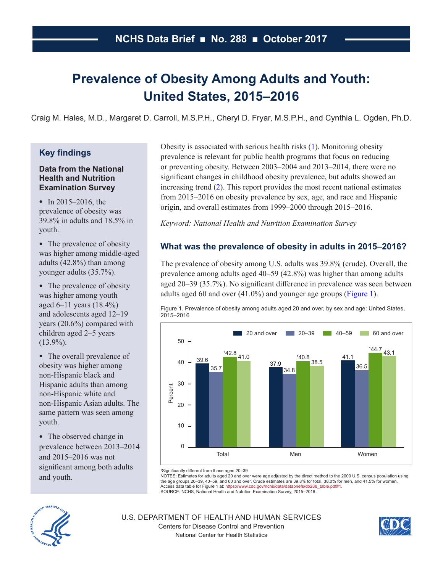# **Prevalence of Obesity Among Adults and Youth: United States, 2015–2016**

Craig M. Hales, M.D., Margaret D. Carroll, M.S.P.H., Cheryl D. Fryar, M.S.P.H., and Cynthia L. Ogden, Ph.D.

# **Key findings**

### **Data from the National Health and Nutrition Examination Survey**

• In 2015–2016, the prevalence of obesity was 39.8% in adults and 18.5% in youth.

• The prevalence of obesity was higher among middle-aged adults (42.8%) than among younger adults (35.7%).

• The prevalence of obesity was higher among youth aged 6–11 years (18.4%) and adolescents aged 12–19 years (20.6%) compared with children aged 2–5 years  $(13.9\%)$ .

• The overall prevalence of obesity was higher among non-Hispanic black and Hispanic adults than among non-Hispanic white and non-Hispanic Asian adults. The same pattern was seen among youth.

• The observed change in prevalence between 2013–2014 and 2015–2016 was not significant among both adults and youth.

Obesity is associated with serious health risks [\(1\)](#page-6-0). Monitoring obesity prevalence is relevant for public health programs that focus on reducing or preventing obesity. Between 2003–2004 and 2013–2014, there were no significant changes in childhood obesity prevalence, but adults showed an increasing trend [\(2\)](#page-7-0). This report provides the most recent national estimates from 2015–2016 on obesity prevalence by sex, age, and race and Hispanic origin, and overall estimates from 1999–2000 through 2015–2016.

*Keyword: National Health and Nutrition Examination Survey*

# **What was the prevalence of obesity in adults in 2015–2016?**

The prevalence of obesity among U.S. adults was 39.8% (crude). Overall, the prevalence among adults aged 40–59 (42.8%) was higher than among adults aged 20–39 (35.7%). No significant difference in prevalence was seen between adults aged 60 and over (41.0%) and younger age groups (Figure 1).

Figure 1. Prevalence of obesity among adults aged 20 and over, by sex and age: United States, 2015–2016



1 Significantly different from those aged 20–39.

NOTES: Estimates for adults aged 20 and over were age adjusted by the direct method to the 2000 U.S. census population using the age groups 20–39, 40–59, and 60 and over. Crude estimates are 39.8% for total, 38.0% for men, and 41.5% for women. Access data table for Figure 1 at: https://www.cdc.gov/nchs/data/databriefs/db288\_table.pdf#1. SOURCE: NCHS, National Health and Nutrition Examination Survey, 2015–2016.



U.S. DEPARTMENT OF HEALTH AND HUMAN SERVICES Centers for Disease Control and Prevention National Center for Health Statistics

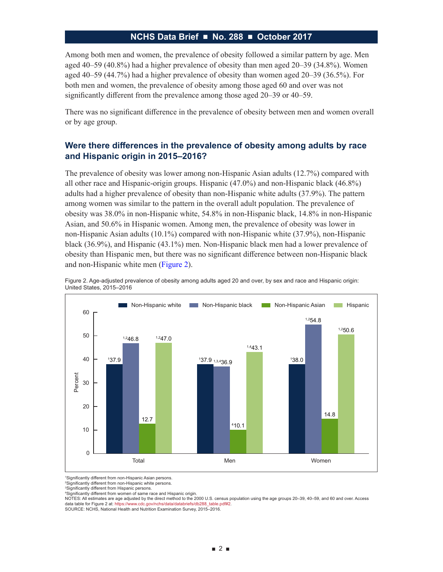Among both men and women, the prevalence of obesity followed a similar pattern by age. Men aged 40–59 (40.8%) had a higher prevalence of obesity than men aged 20–39 (34.8%). Women aged 40–59 (44.7%) had a higher prevalence of obesity than women aged 20–39 (36.5%). For both men and women, the prevalence of obesity among those aged 60 and over was not significantly different from the prevalence among those aged 20–39 or 40–59.

There was no significant difference in the prevalence of obesity between men and women overall or by age group.

# **Were there differences in the prevalence of obesity among adults by race and Hispanic origin in 2015–2016?**

The prevalence of obesity was lower among non-Hispanic Asian adults (12.7%) compared with all other race and Hispanic-origin groups. Hispanic (47.0%) and non-Hispanic black (46.8%) adults had a higher prevalence of obesity than non-Hispanic white adults (37.9%). The pattern among women was similar to the pattern in the overall adult population. The prevalence of obesity was 38.0% in non-Hispanic white, 54.8% in non-Hispanic black, 14.8% in non-Hispanic Asian, and 50.6% in Hispanic women. Among men, the prevalence of obesity was lower in non-Hispanic Asian adults (10.1%) compared with non-Hispanic white (37.9%), non-Hispanic black (36.9%), and Hispanic (43.1%) men. Non-Hispanic black men had a lower prevalence of obesity than Hispanic men, but there was no significant difference between non-Hispanic black and non-Hispanic white men (Figure 2).



Figure 2. Age-adjusted prevalence of obesity among adults aged 20 and over, by sex and race and Hispanic origin: United States, 2015–2016

1 Significantly different from non-Hispanic Asian persons.

2 Significantly different from non-Hispanic white persons.

3 Significantly different from Hispanic persons.

4 Significantly different from women of same race and Hispanic origin.

NOTES: All estimates are age adjusted by the direct method to the 2000 U.S. census population using the age groups 20–39, 40–59, and 60 and over. Access data table for Figure 2 at: https://www.cdc.gov/nchs/data/databriefs/db288\_table.pdf#2 SOURCE: NCHS, National Health and Nutrition Examination Survey, 2015–2016.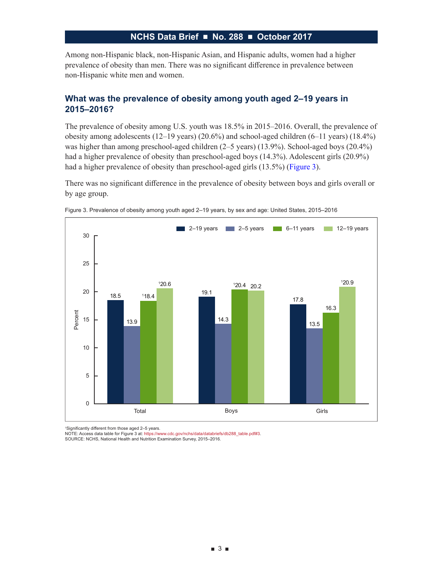Among non-Hispanic black, non-Hispanic Asian, and Hispanic adults, women had a higher prevalence of obesity than men. There was no significant difference in prevalence between non-Hispanic white men and women.

### **What was the prevalence of obesity among youth aged 2–19 years in 2015–2016?**

The prevalence of obesity among U.S. youth was 18.5% in 2015–2016. Overall, the prevalence of obesity among adolescents (12–19 years) (20.6%) and school-aged children (6–11 years) (18.4%) was higher than among preschool-aged children (2–5 years) (13.9%). School-aged boys (20.4%) had a higher prevalence of obesity than preschool-aged boys (14.3%). Adolescent girls (20.9%) had a higher prevalence of obesity than preschool-aged girls (13.5%) (Figure 3).

There was no significant difference in the prevalence of obesity between boys and girls overall or by age group.





1 Significantly different from those aged 2–5 years.

NOTE: Access data table for Figure 3 at: https://www.cdc.gov/nchs/data/databriefs/db288\_table.pdf#3.<br>SOURCE: NCHS, National Health and Nutrition Examination Survey, 2015–2016.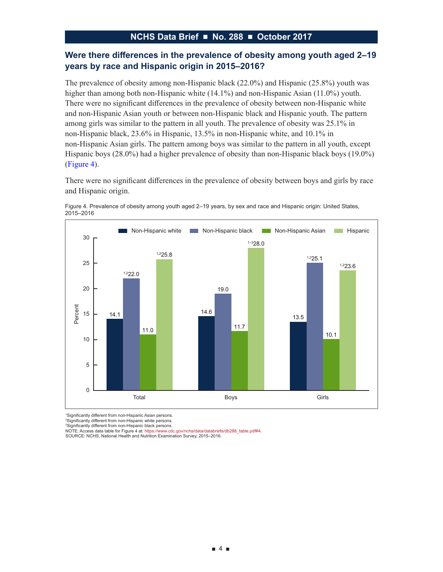# **Were there differences in the prevalence of obesity among youth aged 2–19 years by race and Hispanic origin in 2015–2016?**

The prevalence of obesity among non-Hispanic black (22.0%) and Hispanic (25.8%) youth was higher than among both non-Hispanic white (14.1%) and non-Hispanic Asian (11.0%) youth. There were no significant differences in the prevalence of obesity between non-Hispanic white and non-Hispanic Asian youth or between non-Hispanic black and Hispanic youth. The pattern among girls was similar to the pattern in all youth. The prevalence of obesity was 25.1% in non-Hispanic black, 23.6% in Hispanic, 13.5% in non-Hispanic white, and 10.1% in non-Hispanic Asian girls. The pattern among boys was similar to the pattern in all youth, except Hispanic boys (28.0%) had a higher prevalence of obesity than non-Hispanic black boys (19.0%) (Figure 4).

There were no significant differences in the prevalence of obesity between boys and girls by race and Hispanic origin.





1 Significantly different from non-Hispanic Asian persons.

2 Significantly different from non-Hispanic white persons.

3 Significantly different from non-Hispanic black persons.

NOTE: Access data table for Figure 4 at: https://www.cdc.gov/nchs/data/databriefs/db288\_table.pdf#4.

SOURCE: NCHS, National Health and Nutrition Examination Survey, 2015–2016.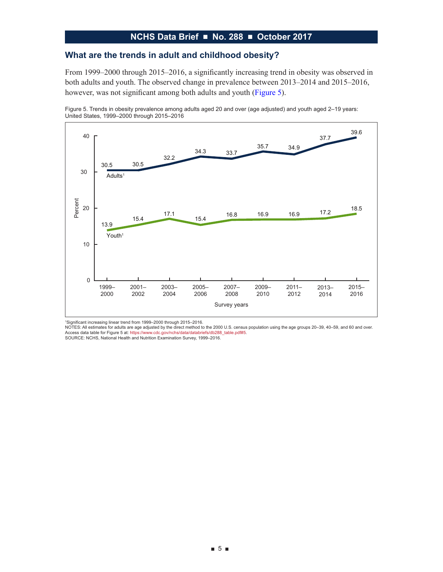### **What are the trends in adult and childhood obesity?**

From 1999–2000 through 2015–2016, a significantly increasing trend in obesity was observed in both adults and youth. The observed change in prevalence between 2013–2014 and 2015–2016, however, was not significant among both adults and youth (Figure 5).





1 Significant increasing linear trend from 1999–2000 through 2015–2016.

NOTES: All estimates for adults are age adjusted by the direct method to the 2000 U.S. census population using the age groups 20–39, 40–59, and 60 and over. Access data table for Figure 5 at: https://www.cdc.gov/nchs/data/databriefs/db288\_table.pdf#5.

SOURCE: NCHS, National Health and Nutrition Examination Survey, 1999–2016.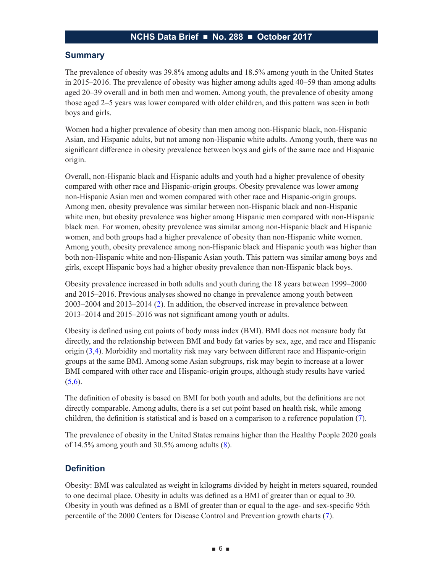#### **Summary**

The prevalence of obesity was 39.8% among adults and 18.5% among youth in the United States in 2015–2016. The prevalence of obesity was higher among adults aged 40–59 than among adults aged 20–39 overall and in both men and women. Among youth, the prevalence of obesity among those aged 2–5 years was lower compared with older children, and this pattern was seen in both boys and girls.

Women had a higher prevalence of obesity than men among non-Hispanic black, non-Hispanic Asian, and Hispanic adults, but not among non-Hispanic white adults. Among youth, there was no significant difference in obesity prevalence between boys and girls of the same race and Hispanic origin.

Overall, non-Hispanic black and Hispanic adults and youth had a higher prevalence of obesity compared with other race and Hispanic-origin groups. Obesity prevalence was lower among non-Hispanic Asian men and women compared with other race and Hispanic-origin groups. Among men, obesity prevalence was similar between non-Hispanic black and non-Hispanic white men, but obesity prevalence was higher among Hispanic men compared with non-Hispanic black men. For women, obesity prevalence was similar among non-Hispanic black and Hispanic women, and both groups had a higher prevalence of obesity than non-Hispanic white women. Among youth, obesity prevalence among non-Hispanic black and Hispanic youth was higher than both non-Hispanic white and non-Hispanic Asian youth. This pattern was similar among boys and girls, except Hispanic boys had a higher obesity prevalence than non-Hispanic black boys.

Obesity prevalence increased in both adults and youth during the 18 years between 1999–2000 and 2015–2016. Previous analyses showed no change in prevalence among youth between 2003–2004 and 2013–2014 ([2](#page-7-0)). In addition, the observed increase in prevalence between 2013–2014 and 2015–2016 was not significant among youth or adults.

Obesity is defined using cut points of body mass index (BMI). BMI does not measure body fat directly, and the relationship between BMI and body fat varies by sex, age, and race and Hispanic origin ([3,4](#page-7-0)). Morbidity and mortality risk may vary between different race and Hispanic-origin groups at the same BMI. Among some Asian subgroups, risk may begin to increase at a lower BMI compared with other race and Hispanic-origin groups, although study results have varied  $(5,6).$  $(5,6).$  $(5,6).$ 

The definition of obesity is based on BMI for both youth and adults, but the definitions are not directly comparable. Among adults, there is a set cut point based on health risk, while among children, the definition is statistical and is based on a comparison to a reference population ([7\)](#page-7-0).

The prevalence of obesity in the United States remains higher than the Healthy People 2020 goals of  $14.5\%$  among youth and  $30.5\%$  among adults  $(8)$ .

#### **Definition**

Obesity: BMI was calculated as weight in kilograms divided by height in meters squared, rounded to one decimal place. Obesity in adults was defined as a BMI of greater than or equal to 30. Obesity in youth was defined as a BMI of greater than or equal to the age- and sex-specific 95th percentile of the 2000 Centers for Disease Control and Prevention growth charts ([7\)](#page-7-0).

■ 6 ■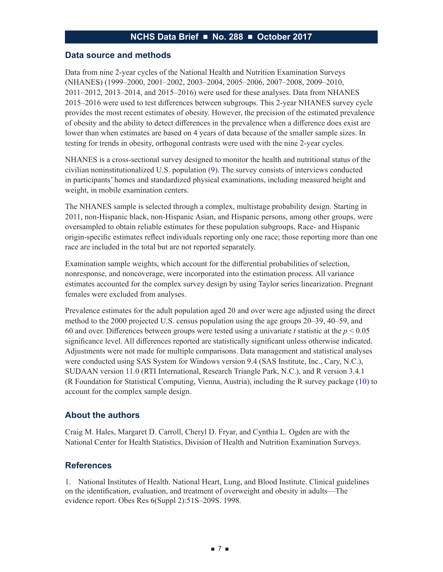#### <span id="page-6-0"></span>**Data source and methods**

Data from nine 2-year cycles of the National Health and Nutrition Examination Surveys (NHANES) (1999–2000, 2001–2002, 2003–2004, 2005–2006, 2007–2008, 2009–2010, 2011–2012, 2013–2014, and 2015–2016) were used for these analyses. Data from NHANES 2015–2016 were used to test differences between subgroups. This 2-year NHANES survey cycle provides the most recent estimates of obesity. However, the precision of the estimated prevalence of obesity and the ability to detect differences in the prevalence when a difference does exist are lower than when estimates are based on 4 years of data because of the smaller sample sizes. In testing for trends in obesity, orthogonal contrasts were used with the nine 2-year cycles.

NHANES is a cross-sectional survey designed to monitor the health and nutritional status of the civilian noninstitutionalized U.S. population ([9\)](#page-7-0). The survey consists of interviews conducted in participants' homes and standardized physical examinations, including measured height and weight, in mobile examination centers.

The NHANES sample is selected through a complex, multistage probability design. Starting in 2011, non-Hispanic black, non-Hispanic Asian, and Hispanic persons, among other groups, were oversampled to obtain reliable estimates for these population subgroups. Race- and Hispanic origin-specific estimates reflect individuals reporting only one race; those reporting more than one race are included in the total but are not reported separately.

Examination sample weights, which account for the differential probabilities of selection, nonresponse, and noncoverage, were incorporated into the estimation process. All variance estimates accounted for the complex survey design by using Taylor series linearization. Pregnant females were excluded from analyses.

Prevalence estimates for the adult population aged 20 and over were age adjusted using the direct method to the 2000 projected U.S. census population using the age groups 20–39, 40–59, and 60 and over. Differences between groups were tested using a univariate *t* statistic at the *p* < 0.05 significance level. All differences reported are statistically significant unless otherwise indicated. Adjustments were not made for multiple comparisons. Data management and statistical analyses were conducted using SAS System for Windows version 9.4 (SAS Institute, Inc., Cary, N.C.), SUDAAN version 11.0 (RTI International, Research Triangle Park, N.C.), and R version 3.4.1 (R Foundation for Statistical Computing, Vienna, Austria), including the R survey package ([10\)](#page-7-0) to account for the complex sample design.

#### **About the authors**

Craig M. Hales, Margaret D. Carroll, Cheryl D. Fryar, and Cynthia L. Ogden are with the National Center for Health Statistics, Division of Health and Nutrition Examination Surveys.

#### **References**

1. National Institutes of Health. National Heart, Lung, and Blood Institute. Clinical guidelines on the identification, evaluation, and treatment of overweight and obesity in adults—The evidence report. Obes Res 6(Suppl 2):51S–209S. 1998.